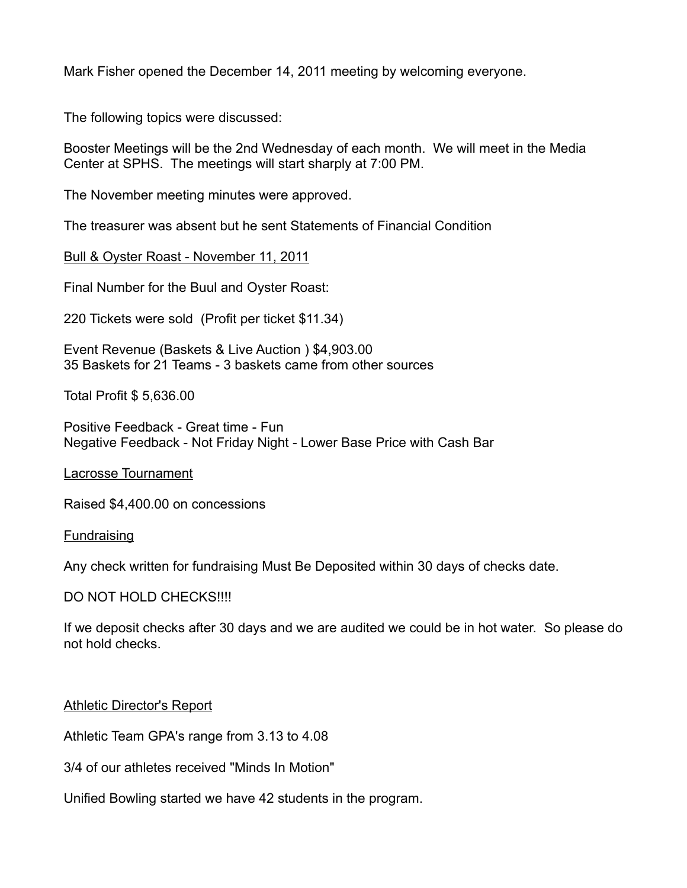Mark Fisher opened the December 14, 2011 meeting by welcoming everyone.

The following topics were discussed:

Booster Meetings will be the 2nd Wednesday of each month. We will meet in the Media Center at SPHS. The meetings will start sharply at 7:00 PM.

The November meeting minutes were approved.

The treasurer was absent but he sent Statements of Financial Condition

Bull & Oyster Roast - November 11, 2011

Final Number for the Buul and Oyster Roast:

220 Tickets were sold (Profit per ticket \$11.34)

Event Revenue (Baskets & Live Auction ) \$4,903.00 35 Baskets for 21 Teams - 3 baskets came from other sources

Total Profit \$ 5,636.00

Positive Feedback - Great time - Fun Negative Feedback - Not Friday Night - Lower Base Price with Cash Bar

Lacrosse Tournament

Raised \$4,400.00 on concessions

**Fundraising** 

Any check written for fundraising Must Be Deposited within 30 days of checks date.

DO NOT HOLD CHECKS!!!!

If we deposit checks after 30 days and we are audited we could be in hot water. So please do not hold checks.

Athletic Director's Report

Athletic Team GPA's range from 3.13 to 4.08

3/4 of our athletes received "Minds In Motion"

Unified Bowling started we have 42 students in the program.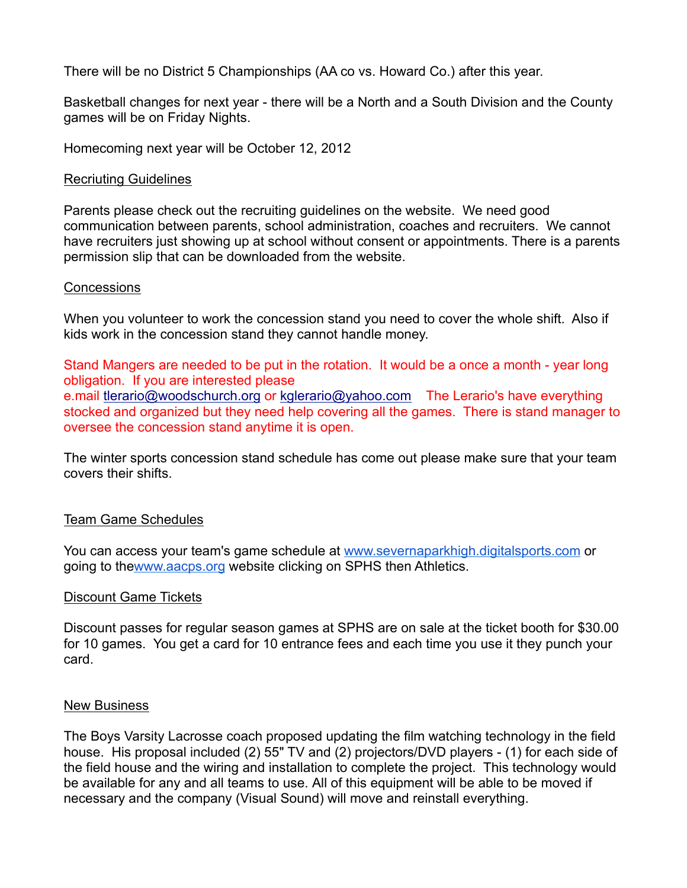There will be no District 5 Championships (AA co vs. Howard Co.) after this year.

Basketball changes for next year - there will be a North and a South Division and the County games will be on Friday Nights.

Homecoming next year will be October 12, 2012

# Recriuting Guidelines

Parents please check out the recruiting guidelines on the website. We need good communication between parents, school administration, coaches and recruiters. We cannot have recruiters just showing up at school without consent or appointments. There is a parents permission slip that can be downloaded from the website.

#### Concessions

When you volunteer to work the concession stand you need to cover the whole shift. Also if kids work in the concession stand they cannot handle money.

Stand Mangers are needed to be put in the rotation. It would be a once a month - year long obligation. If you are interested please e.mail tlerario@woodschurch.org or kglerario@yahoo.com The Lerario's have everything stocked and organized but they need help covering all the games. There is stand manager to oversee the concession stand anytime it is open.

The winter sports concession stand schedule has come out please make sure that your team covers their shifts.

## Team Game Schedules

You can access your team's game schedule at www.severnaparkhigh.digitalsports.com or going to the www.aacps.org website clicking on SPHS then Athletics.

## Discount Game Tickets

Discount passes for regular season games at SPHS are on sale at the ticket booth for \$30.00 for 10 games. You get a card for 10 entrance fees and each time you use it they punch your card.

#### New Business

The Boys Varsity Lacrosse coach proposed updating the film watching technology in the field house. His proposal included (2) 55" TV and (2) projectors/DVD players - (1) for each side of the field house and the wiring and installation to complete the project. This technology would be available for any and all teams to use. All of this equipment will be able to be moved if necessary and the company (Visual Sound) will move and reinstall everything.